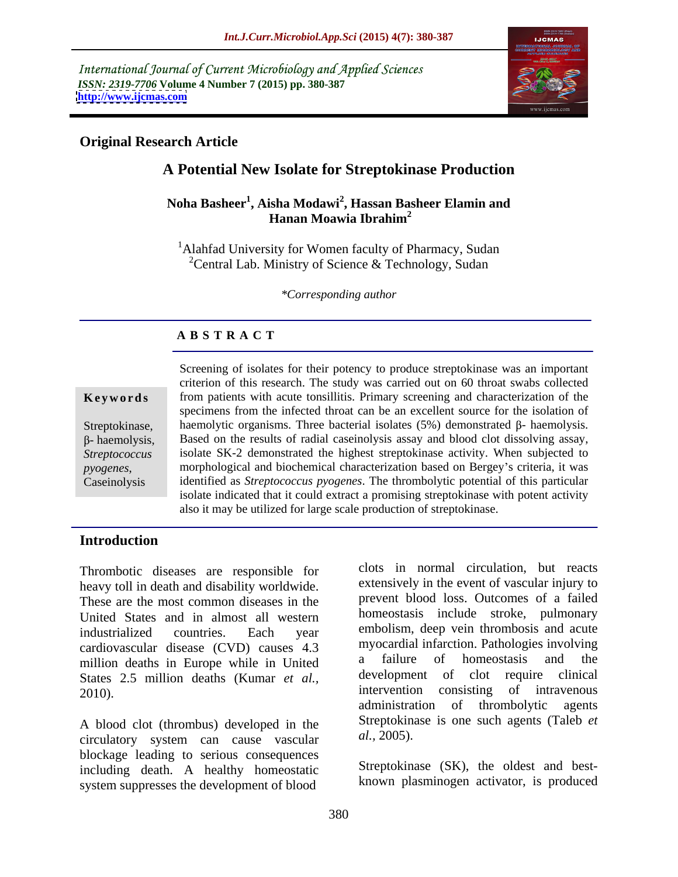International Journal of Current Microbiology and Applied Sciences *ISSN: 2319-7706* **Volume 4 Number 7 (2015) pp. 380-387 <http://www.ijcmas.com>**



# **Original Research Article**

# **A Potential New Isolate for Streptokinase Production**

### **Noha Basheer<sup>1</sup> , Aisha Modawi<sup>2</sup> , Hassan Basheer Elamin and Hanan Moawia Ibrahim<sup>2</sup>**

<sup>1</sup>Alahfad University for Women faculty of Pharmacy, Sudan <sup>2</sup>Central Lab. Ministry of Science & Technology, Sudan

*\*Corresponding author*

## **A B S T R A C T**

*pyogenes*, Caseinolysis

Screening of isolates for their potency to produce streptokinase was an important criterion of this research. The study was carried out on 60 throat swabs collected **Keywords** from patients with acute tonsillitis. Primary screening and characterization of the specimens from the infected throat can be an excellent source for the isolation of haemolytic organisms. Three bacterial isolates  $(5%)$  demonstrated  $\beta$ - haemolysis. Streptokinase, haemolytic organisms. Three bacterial isolates (5%) demonstrated  $\beta$ - haemolysis.<br> $\beta$ - haemolysis, - Based on the results of radial caseinolysis assay and blood clot dissolving assay, isolate SK-2 demonstrated the highest streptokinase activity. When subjected to *Streptococcus*  morphological and biochemical characterization based on Bergey s criteria, it was identified as *Streptococcus pyogenes*. The thrombolytic potential of this particular isolate indicated that it could extract a promising streptokinase with potent activity also it may be utilized for large scale production of streptokinase.

# **Introduction**

Thrombotic diseases are responsible for heavy toll in death and disability worldwide. These are the most common diseases in the United States and in almost all western industrialized countries. Each year embolism, deep vein thrombosis and acute cardiovascular disease (CVD) causes 4.3 myocardial infraction. Pathologies involving<br>million deaths in Europe while in United a failure of homeostasis and the million deaths in Europe while in United<br>States 2.5 million deaths (Kumar et al.) development of clot require clinical States 2.5 million deaths (Kumar *et al.*, development of clot require clinical intervention consisting of intravenous

A blood clot (thrombus) developed in the Streptoking<br>circulatory system can cause yascular al., 2005). circulatory system can cause vascular blockage leading to serious consequences including death. A healthy homeostatic system suppresses the development of blood

2010). 2010). The intervention consisting of intravenous administration of thrombolytic agents clots in normal circulation, but reacts extensively in the event of vascular injury to prevent blood loss. Outcomes of a failed homeostasis include stroke, pulmonary myocardial infarction. Pathologies involving a failure of homeostasis and the development of clot require clinical intervention consisting of intravenous administration of thrombolytic agents Streptokinase is one such agents (Taleb *et al.,* 2005).

> Streptokinase (SK), the oldest and best known plasminogen activator, is produced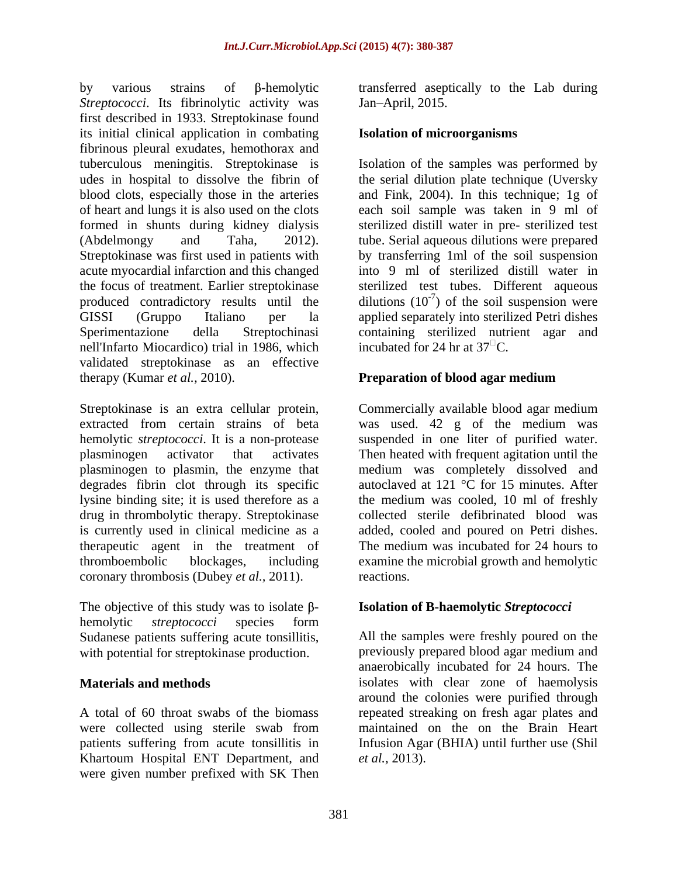by various strains of β-hemolytic transferred aseptically to the Lab during *Streptococci*. Its fibrinolytic activity was Jan-April, 2015. first described in 1933. Streptokinase found its initial clinical application in combating fibrinous pleural exudates, hemothorax and tuberculous meningitis. Streptokinase is Isolation of the samples was performed by udes in hospital to dissolve the fibrin of the serial dilution plate technique (Uversky blood clots, especially those in the arteries and Fink, 2004). In this technique; 1g of of heart and lungs it is also used on the clots formed in shunts during kidney dialysis sterilized distill water in pre- sterilized test (Abdelmongy and Taha, 2012). tube. Serial aqueous dilutions were prepared Streptokinase was first used in patients with by transferring 1ml of the soil suspension acute myocardial infarction and this changed into 9 ml of sterilized distill water in the focus of treatment. Earlier streptokinase sterilized test tubes. Different aqueous produced contradictory results until the dilutions  $(10^{-7})$  of the soil suspension were GISSI (Gruppo Italiano per la applied separately into sterilized Petri dishes Sperimentazione della Streptochinasi containing sterilized nutrient agar and nell'Infarto Miocardico) trial in 1986, which incubated for 24 hr at  $37^{\circ}$ C. validated streptokinase as an effective therapy (Kumar *et al.*, 2010). **Preparation of blood agar medium** 

Streptokinase is an extra cellular protein, Commercially available blood agar medium extracted from certain strains of beta was used. 42 g of the medium was hemolytic *streptococci*. It is a non-protease suspended in one liter of purified water. plasminogen activator that activates Then heated with frequent agitation until the plasminogen to plasmin, the enzyme that degrades fibrin clot through its specific autoclaved at 121 °C for 15 minutes. After lysine binding site; it is used therefore as a the medium was cooled, 10 ml of freshly drug in thrombolytic therapy. Streptokinase collected sterile defibrinated blood was is currently used in clinical medicine as a added, cooled and poured on Petri dishes. therapeutic agent in the treatment of thromboembolic blockages, including examine the microbial growth and hemolytic coronary thrombosis (Dubey *et al.,* 2011).

The objective of this study was to isolate  $\beta$ -**Isolation of B-haemolytic** *Streptococci*<br>hemolytic *streptococci* species form Sudanese patients suffering acute tonsillitis, with potential for streptokinase production.

were collected using sterile swab from Khartoum Hospital ENT Department, and were given number prefixed with SK Then

Jan April, 2015.

### **Isolation of microorganisms**

each soil sample was taken in 9 ml of incubated for 24 hr at  $37^{\circ}$ C.

### **Preparation of blood agar medium**

medium was completely dissolved and The medium was incubated for 24 hours to reactions.

### **Isolation of B-haemolytic** *Streptococci*

**Materials and methods** isolates with clear zone of haemolysis A total of 60 throat swabs of the biomass repeated streaking on fresh agar plates and patients suffering from acute tonsillitis in Infusion Agar (BHIA) until further use (Shil All the samples were freshly poured on the previously prepared blood agar medium and anaerobically incubated for 24 hours. The around the colonies were purified through maintained on the on the Brain Heart *et al.,* 2013).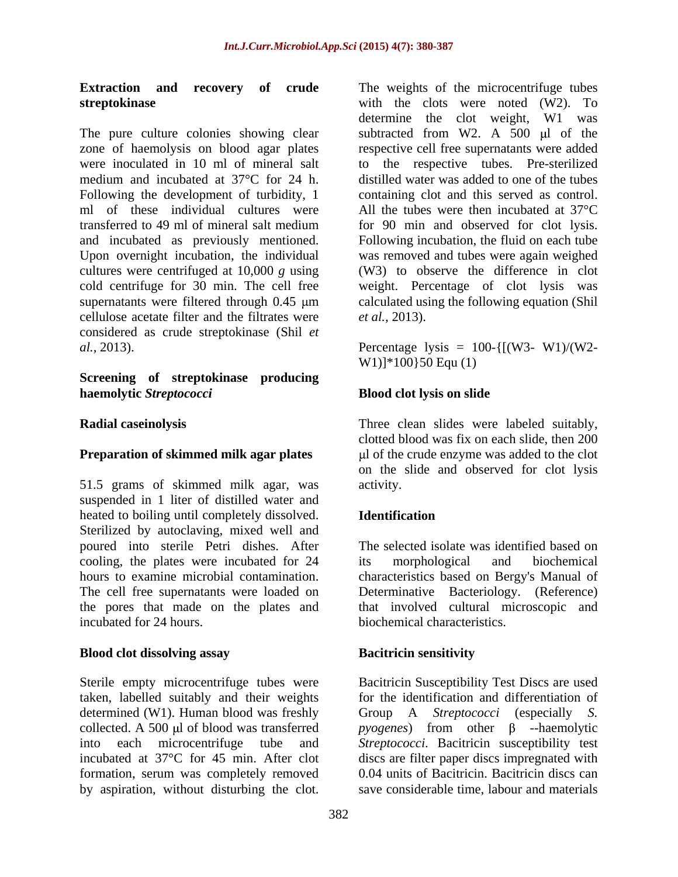Following the development of turbidity, 1 cellulose acetate filter and the filtrates were *et al.*, 2013). considered as crude streptokinase (Shil *et al.,* 2013). Percentage lysis = 100-{[(W3- W1)/(W2-

### **Screening of streptokinase producing haemolytic** *Streptococci* **Blood clot lysis on slide**

### **Preparation of skimmed milk agar plates**

51.5 grams of skimmed milk agar, was suspended in 1 liter of distilled water and heated to boiling until completely dissolved. **Identification** Sterilized by autoclaving, mixed well and poured into sterile Petri dishes. After The selected isolate was identified based on cooling, the plates were incubated for 24 its morphological and biochemical hours to examine microbial contamination. characteristics based on Bergy's Manual of The cell free supernatants were loaded on Determinative Bacteriology. (Reference) the pores that made on the plates and incubated for 24 hours. biochemical characteristics.

### **Blood clot dissolving assay by Bacitrician sensitivity**

taken, labelled suitably and their weights determined (W1). Human blood was freshly Group A Streptococci (especially S. incubated at 37°C for 45 min. After clot formation, serum was completely removed by aspiration, without disturbing the clot.

**Extraction and recovery of crude** The weights of the microcentrifuge tubes **streptokinase** with the clots were noted (W2). To The pure culture colonies showing clear subtracted from W2. A  $500 \mu l$  of the zone of haemolysis on blood agar plates respective cell free supernatants were added were inoculated in 10 ml of mineral salt to the respective tubes. Pre-sterilized medium and incubated at 37°C for 24 h. distilled water was added to one of the tubes ml of these individual cultures were All the tubes were then incubated at 37°C transferred to 49 ml of mineral salt medium for 90 min and observed for clot lysis. and incubated as previously mentioned. Following incubation, the fluid on each tube Upon overnight incubation, the individual was removed and tubes were again weighed cultures were centrifuged at 10,000 *g* using (W3) to observe the difference in clot cold centrifuge for 30 min. The cell free weight. Percentage of clot lysis was supernatants were filtered through 0.45  $\mu$ m calculated using the following equation (Shil determine the clot weight, W1 was containing clot and this served as control. *et al.,* 2013).

W1)]\*100}50 Equ (1)

**Radial caseinolysis** Three clean slides were labeled suitably, clotted blood was fix on each slide, then 200 l of the crude enzyme was added to the clot on the slide and observed for clot lysis activity.

### **Identification**

its morphological and biochemical that involved cultural microscopic and

### **Bacitricin sensitivity**

Sterile empty microcentrifuge tubes were Bacitricin Susceptibility Test Discs are used collected. A 500 µl of blood was transferred  $pycgenes)$  from other  $\beta$  --haemolytic into each microcentrifuge tube and *Streptococci*. Bacitricin susceptibility test for the identification and differentiation of Group A *Streptococci* (especially discs are filter paper discs impregnated with 0.04 units of Bacitricin. Bacitricin discs can save considerable time, labour and materials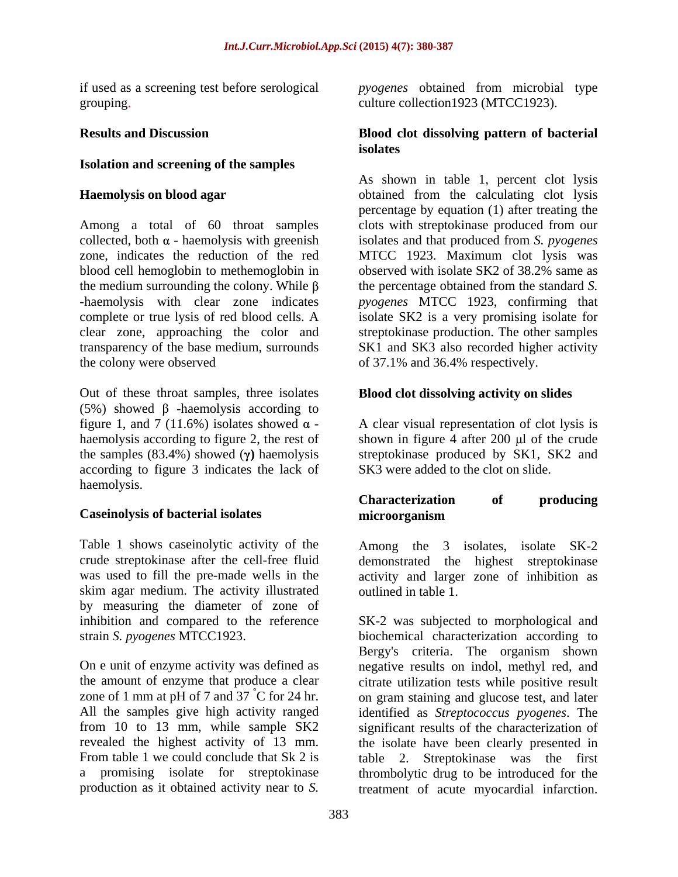# **Isolation and screening of the samples**

Among a total of 60 throat samples  $\alpha$ - haemolysis with greenish isolates and that produced from *S. pyogenes* zone, indicates the reduction of the red MTCC 1923. Maximum clot lysis was blood cell hemoglobin to methemoglobin in observed with isolate SK2 of 38.2% same as the medium surrounding the colony. While  $\beta$  the percentage obtained from the standard *S*. -haemolysis with clear zone indicates *pyogenes* MTCC 1923, confirming that complete or true lysis of red blood cells. A clear zone, approaching the color and streptokinase production. The other samples transparency of the base medium, surrounds SK1 and SK3 also recorded higher activity the colony were observed of 37.1% and 36.4% respectively.

Out of these throat samples, three isolates (5%) showed  $\beta$  -haemolysis according to figure 1, and 7 (11.6%) isolates showed  $\alpha$ figure 1, and 7 (11.6%) isolates showed  $\alpha$  - A clear visual representation of clot lysis is haemolysis according to figure 2, the rest of shown in figure 4 after 200 µl of the crude the samples  $(83.4\%)$  showed  $(\gamma)$  haemolysis according to figure 3 indicates the lack of haemolysis.

# **Caseinolysis of bacterial isolates**

Table 1 shows caseinolytic activity of the crude streptokinase after the cell-free fluid demonstrated the highest streptokinase was used to fill the pre-made wells in the activity and larger zone of inhibition as skim agar medium. The activity illustrated by measuring the diameter of zone of

zone of 1 mm at pH of 7 and 37 °C for 24 hr.

if used as a screening test before serological *pyogenes* obtained from microbial type grouping. The collection of the collection of the collection 1923 (MTCC1923).

## **Results and Discussion Blood clot dissolving pattern of bacterial isolates**

**Haemolysis on blood agar** obtained from the calculating clot lysis As shown in table 1, percent clot lysis percentage by equation (1) after treating the clots with streptokinase produced from our observed with isolate SK2 of 38.2% same as isolate SK2 is a very promising isolate for

# **Blood clot dissolving activity on slides**

streptokinase produced by SK1, SK2 and SK3 were added to the clot on slide.

# **Characterization of producing microorganism**

Among the 3 isolates, isolate SK-2 outlined in table 1.

inhibition and compared to the reference SK-2 was subjected to morphological and strain *S. pyogenes* MTCC1923. biochemical characterization according to On e unit of enzyme activity was defined as negative results on indol, methyl red, and the amount of enzyme that produce a clear citrate utilization tests while positive result All the samples give high activity ranged identified as *Streptococcus pyogenes*. The from 10 to 13 mm, while sample SK2 significant results of the characterization of revealed the highest activity of 13 mm. the isolate have been clearly presented in From table 1 we could conclude that Sk 2 is table 2. Streptokinase was the first a promising isolate for streptokinase thrombolytic drug to be introduced for the production as it obtained activity near to *S.*  treatment of acute myocardial infarction.Bergy's criteria. The organism shown on gram staining and glucose test, and later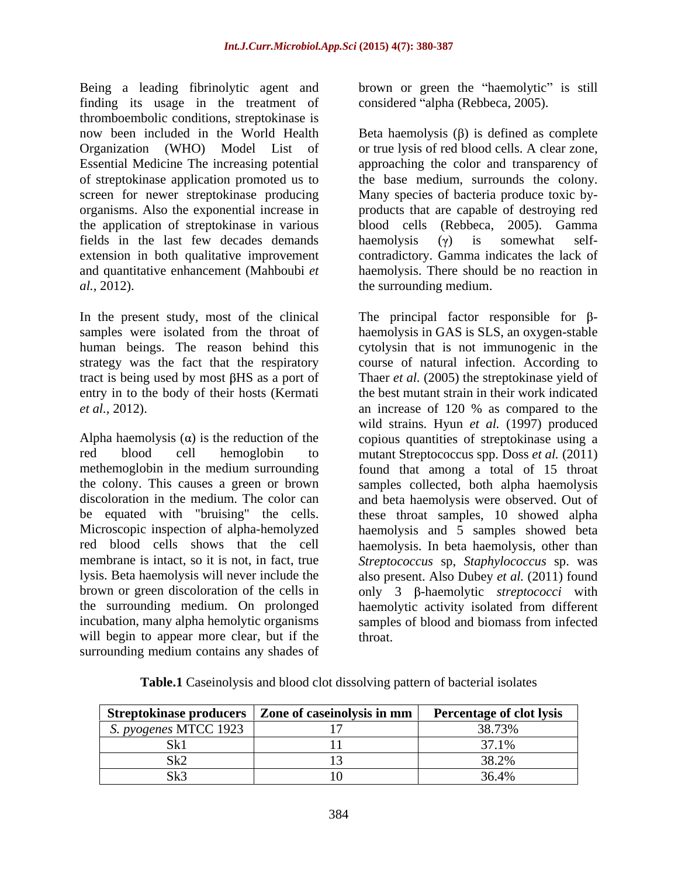Being a leading fibrinolytic agent and brown or green the "haemolytic" is still finding its usage in the treatment of thromboembolic conditions, streptokinase is screen for newer streptokinase producing the application of streptokinase in various fields in the last few decades demands haemolysis  $(y)$  is somewhat self*al.,* 2012). the surrounding medium.

In the present study, most of the clinical The principal factor responsible for  $\beta$ entry in to the body of their hosts (Kermati

be equated with "bruising" the cells. incubation, many alpha hemolytic organisms will begin to appear more clear, but if the throat. surrounding medium contains any shades of

considered "alpha (Rebbeca, 2005).

now been included in the World Health Beta haemolysis  $(\beta)$  is defined as complete Organization (WHO) Model List of or true lysis of red blood cells. A clear zone, Essential Medicine The increasing potential approaching the color and transparency of of streptokinase application promoted us to the base medium, surrounds the colony. organisms. Also the exponential increase in products that are capable of destroying red extension in both qualitative improvement contradictory. Gamma indicates the lack of and quantitative enhancement (Mahboubi *et*  haemolysis. There should be no reaction in Many species of bacteria produce toxic by blood cells (Rebbeca, 2005). Gamma haemolysis  $(\gamma)$  is somewhat self-

samples were isolated from the throat of haemolysis in GAS is SLS, an oxygen-stable human beings. The reason behind this cytolysin that is not immunogenic in the strategy was the fact that the respiratory course of natural infection. According to tract is being used by most βHS as a port of Thaer *et al.* (2005) the streptokinase yield of *et al.,* 2012). an increase of 120 % as compared to the Alpha haemolysis  $\alpha$ ) is the reduction of the copious quantities of streptokinase using a red blood cell hemoglobin to mutant Streptococcus spp. Doss *et al.* (2011) methemoglobin in the medium surrounding found that among a total of 15 throat the colony. This causes a green or brown samples collected, both alpha haemolysis discoloration in the medium. The color can and beta haemolysis were observed. Out of Microscopic inspection of alpha-hemolyzed haemolysis and 5 samples showed beta red blood cells shows that the cell haemolysis. In beta haemolysis, other than membrane is intact, so it is not, in fact, true *Streptococcus* sp, *Staphylococcus* sp. was lysis. Beta haemolysis will never include the also present. Also Dubey *et al.* (2011) found brown or green discoloration of the cells in only 3 β-haemolytic *streptococci* with the surrounding medium. On prolonged haemolytic activity isolated from different the best mutant strain in their work indicated wild strains. Hyun *et al.* (1997) produced these throat samples, 10 showed alpha samples of blood and biomass from infected throat.

| <b>Table.1</b> Caseinolysis and blood clot dissolving pattern of bacterial is<br>l isolates |  |  |
|---------------------------------------------------------------------------------------------|--|--|
|                                                                                             |  |  |

|                                    | Streptokinase producers   Zone of caseinolysis in mm   Percentage of clot lysis |                            |
|------------------------------------|---------------------------------------------------------------------------------|----------------------------|
| <i>ngenes</i> MTCC 1.<br>$\pm$ 197 |                                                                                 | $\Omega$ $\Omega$ $\Omega$ |
| ,,,,                               |                                                                                 |                            |
|                                    |                                                                                 |                            |
|                                    |                                                                                 |                            |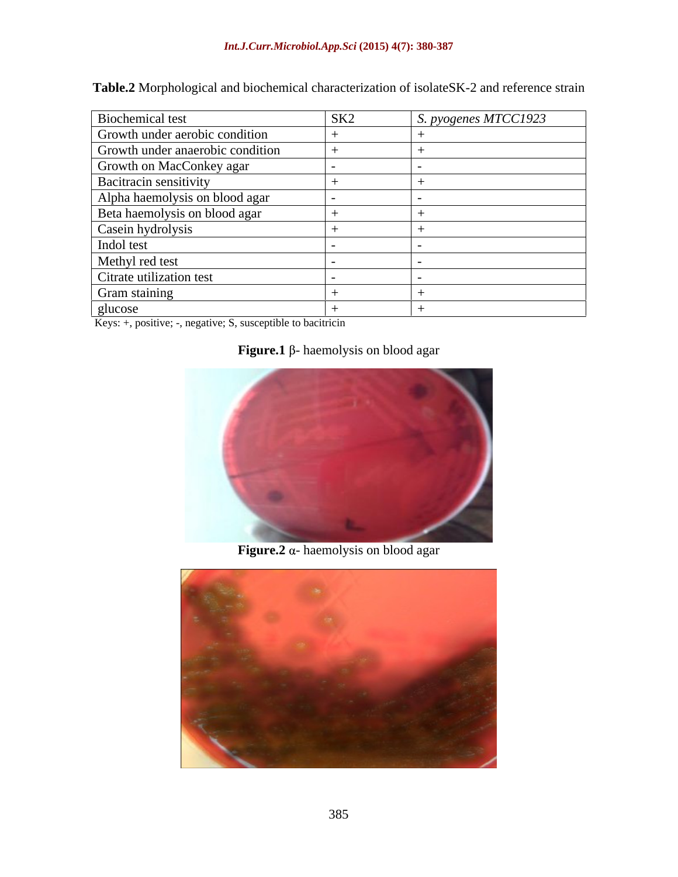**Table.2** Morphological and biochemical characterization of isolateSK-2 and reference strain

| Biochemical test                 | SK <sub>2</sub> | S. pyogenes MTCC1923 |
|----------------------------------|-----------------|----------------------|
| Growth under aerobic condition   |                 |                      |
| Growth under anaerobic condition |                 |                      |
| Growth on MacConkey agar         |                 |                      |
| <b>Bacitracin sensitivity</b>    |                 |                      |
| Alpha haemolysis on blood agar   |                 |                      |
| Beta haemolysis on blood agar    |                 |                      |
| Casein hydrolysis                |                 |                      |
| Indol test                       |                 |                      |
| Methyl red test                  |                 |                      |
| Citrate utilization test         |                 |                      |
| Gram staining                    |                 |                      |
| glucose                          |                 |                      |

Keys: +, positive; -, negative; S, susceptible to bacitricin

# **Figure.1**  $\beta$ - haemolysis on blood agar



**Figure.2**  $\alpha$ - haemolysis on blood agar

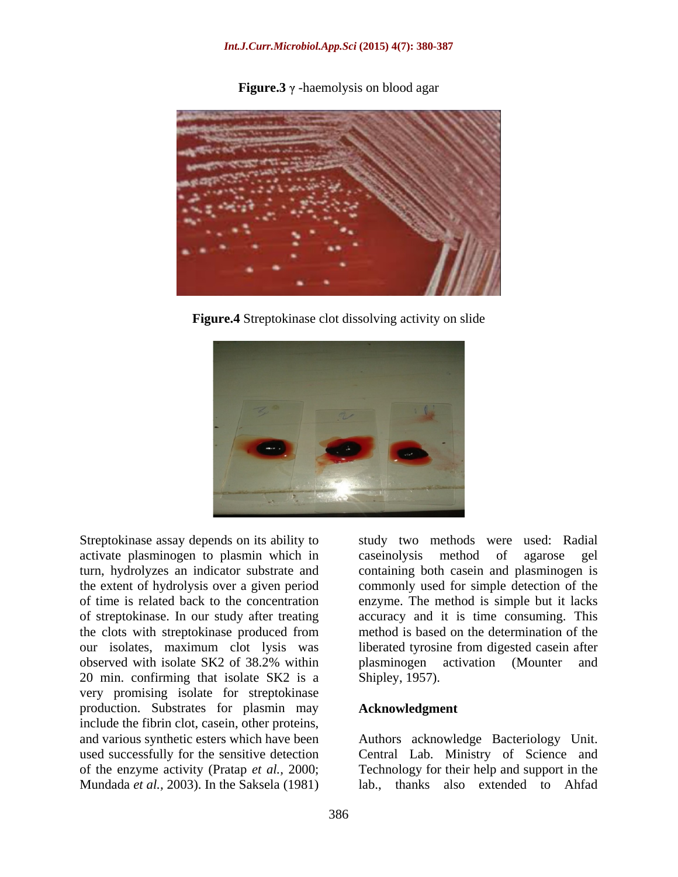**Figure.3**  $\gamma$  -haemolysis on blood agar

**Figure.4** Streptokinase clot dissolving activity on slide



Streptokinase assay depends on its ability to activate plasminogen to plasmin which in of streptokinase. In our study after treating the clots with streptokinase produced from 20 min. confirming that isolate SK2 is a very promising isolate for streptokinase production. Substrates for plasmin may include the fibrin clot, casein, other proteins, and various synthetic esters which have been Authors acknowledge Bacteriology Unit. used successfully for the sensitive detection Central Lab. Ministry of Science and of the enzyme activity (Pratap *et al.,* 2000; Technology for their help and support in the Mundada *et al.,* 2003). In the Saksela (1981)

turn, hydrolyzes an indicator substrate and containing both casein and plasminogen is the extent of hydrolysis over a given period commonly used for simple detection of the of time is related back to the concentration enzyme. The method is simple but it lacks our isolates, maximum clot lysis was liberated tyrosine from digested casein after observed with isolate SK2 of 38.2% within study two methods were used: Radial caseinolysis method of agarose gel accuracy and it is time consuming. This method is based on the determination of the plasminogen activation (Mounter and Shipley, 1957).

### **Acknowledgment**

lab., thanks also extended to Ahfad